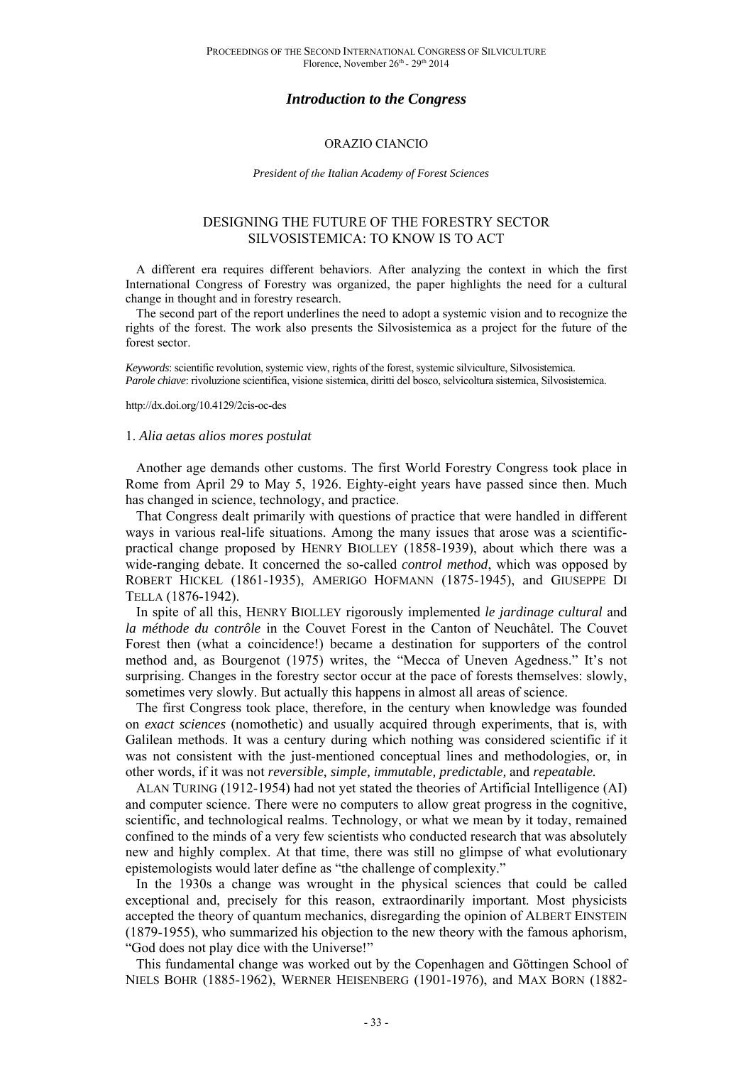# *Introduction to the Congress*

## ORAZIO CIANCIO

#### *President of the Italian Academy of Forest Sciences*

## DESIGNING THE FUTURE OF THE FORESTRY SECTOR SILVOSISTEMICA: TO KNOW IS TO ACT

A different era requires different behaviors. After analyzing the context in which the first International Congress of Forestry was organized, the paper highlights the need for a cultural change in thought and in forestry research.

The second part of the report underlines the need to adopt a systemic vision and to recognize the rights of the forest. The work also presents the Silvosistemica as a project for the future of the forest sector.

*Keywords*: scientific revolution, systemic view, rights of the forest, systemic silviculture, Silvosistemica. *Parole chiave*: rivoluzione scientifica, visione sistemica, diritti del bosco, selvicoltura sistemica, Silvosistemica.

http://dx.doi.org/10.4129/2cis-oc-des

#### 1. *Alia aetas alios mores postulat*

Another age demands other customs. The first World Forestry Congress took place in Rome from April 29 to May 5, 1926. Eighty-eight years have passed since then. Much has changed in science, technology, and practice.

That Congress dealt primarily with questions of practice that were handled in different ways in various real-life situations. Among the many issues that arose was a scientificpractical change proposed by HENRY BIOLLEY (1858-1939), about which there was a wide-ranging debate. It concerned the so-called *control method*, which was opposed by ROBERT HICKEL (1861-1935), AMERIGO HOFMANN (1875-1945), and GIUSEPPE DI TELLA (1876-1942).

In spite of all this, HENRY BIOLLEY rigorously implemented *le jardinage cultural* and *la méthode du contrôle* in the Couvet Forest in the Canton of Neuchâtel. The Couvet Forest then (what a coincidence!) became a destination for supporters of the control method and, as Bourgenot (1975) writes, the "Mecca of Uneven Agedness." It's not surprising. Changes in the forestry sector occur at the pace of forests themselves: slowly, sometimes very slowly. But actually this happens in almost all areas of science.

The first Congress took place, therefore, in the century when knowledge was founded on *exact sciences* (nomothetic) and usually acquired through experiments, that is, with Galilean methods. It was a century during which nothing was considered scientific if it was not consistent with the just-mentioned conceptual lines and methodologies, or, in other words, if it was not *reversible, simple, immutable, predictable,* and *repeatable.* 

ALAN TURING (1912-1954) had not yet stated the theories of Artificial Intelligence (AI) and computer science. There were no computers to allow great progress in the cognitive, scientific, and technological realms. Technology, or what we mean by it today, remained confined to the minds of a very few scientists who conducted research that was absolutely new and highly complex. At that time, there was still no glimpse of what evolutionary epistemologists would later define as "the challenge of complexity."

In the 1930s a change was wrought in the physical sciences that could be called exceptional and, precisely for this reason, extraordinarily important. Most physicists accepted the theory of quantum mechanics, disregarding the opinion of ALBERT EINSTEIN (1879-1955), who summarized his objection to the new theory with the famous aphorism, "God does not play dice with the Universe!"

This fundamental change was worked out by the Copenhagen and Göttingen School of NIELS BOHR (1885-1962), WERNER HEISENBERG (1901-1976), and MAX BORN (1882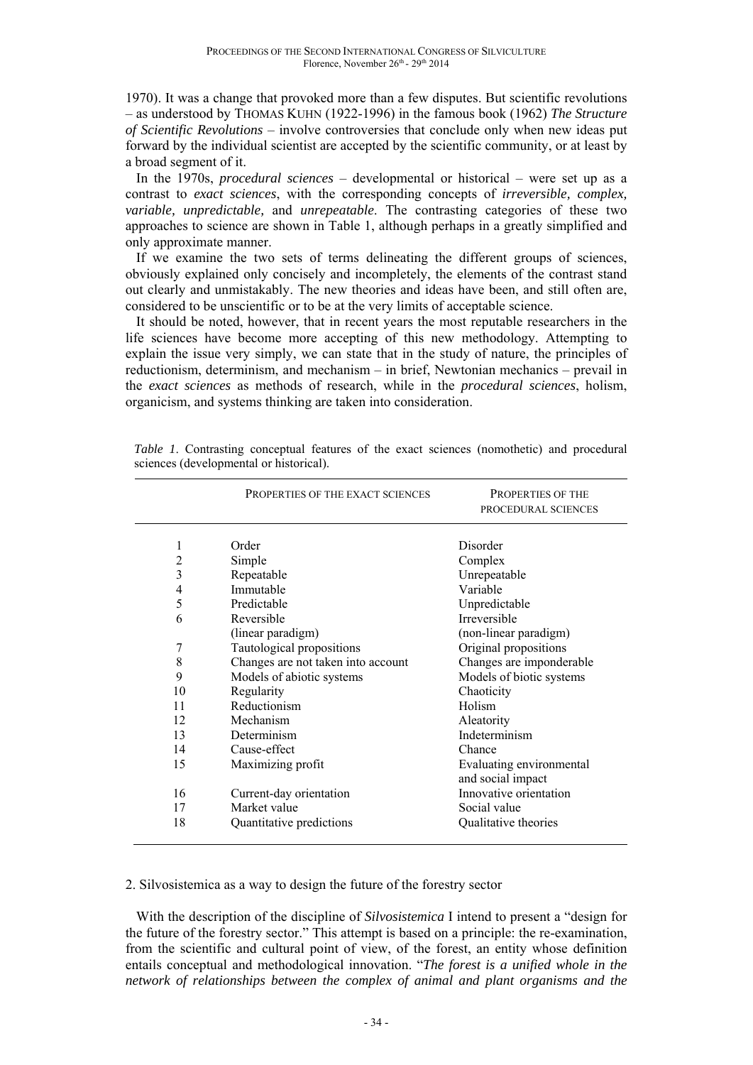1970). It was a change that provoked more than a few disputes. But scientific revolutions – as understood by THOMAS KUHN (1922-1996) in the famous book (1962) *The Structure of Scientific Revolutions* – involve controversies that conclude only when new ideas put forward by the individual scientist are accepted by the scientific community, or at least by a broad segment of it.

In the 1970s, *procedural sciences* – developmental or historical – were set up as a contrast to *exact sciences*, with the corresponding concepts of *irreversible, complex, variable, unpredictable,* and *unrepeatable*. The contrasting categories of these two approaches to science are shown in Table 1, although perhaps in a greatly simplified and only approximate manner.

If we examine the two sets of terms delineating the different groups of sciences, obviously explained only concisely and incompletely, the elements of the contrast stand out clearly and unmistakably. The new theories and ideas have been, and still often are, considered to be unscientific or to be at the very limits of acceptable science.

It should be noted, however, that in recent years the most reputable researchers in the life sciences have become more accepting of this new methodology. Attempting to explain the issue very simply, we can state that in the study of nature, the principles of reductionism, determinism, and mechanism – in brief, Newtonian mechanics – prevail in the *exact sciences* as methods of research, while in the *procedural sciences*, holism, organicism, and systems thinking are taken into consideration.

|                         | PROPERTIES OF THE EXACT SCIENCES   | <b>PROPERTIES OF THE</b><br>PROCEDURAL SCIENCES |
|-------------------------|------------------------------------|-------------------------------------------------|
| 1                       | Order                              | Disorder                                        |
| $\overline{\mathbf{c}}$ | Simple                             | Complex                                         |
| $\overline{\mathbf{3}}$ | Repeatable                         | Unrepeatable                                    |
| 4                       | Immutable                          | Variable                                        |
| 5                       | Predictable                        | Unpredictable                                   |
| 6                       | Reversible                         | Irreversible                                    |
|                         | (linear paradigm)                  | (non-linear paradigm)                           |
| 7                       | Tautological propositions          | Original propositions                           |
| 8                       | Changes are not taken into account | Changes are imponderable                        |
| 9                       | Models of abiotic systems          | Models of biotic systems                        |
| 10                      | Regularity                         | Chaoticity                                      |
| 11                      | Reductionism                       | Holism                                          |
| 12                      | Mechanism                          | Aleatority                                      |
| 13                      | Determinism                        | Indeterminism                                   |
| 14                      | Cause-effect                       | Chance                                          |
| 15                      | Maximizing profit                  | Evaluating environmental                        |
|                         |                                    | and social impact                               |
| 16                      | Current-day orientation            | Innovative orientation                          |
| 17                      | Market value                       | Social value                                    |
| 18                      | Quantitative predictions           | Qualitative theories                            |
|                         |                                    |                                                 |

*Table 1*. Contrasting conceptual features of the exact sciences (nomothetic) and procedural sciences (developmental or historical).

2. Silvosistemica as a way to design the future of the forestry sector

With the description of the discipline of *Silvosistemica* I intend to present a "design for the future of the forestry sector." This attempt is based on a principle: the re-examination, from the scientific and cultural point of view, of the forest, an entity whose definition entails conceptual and methodological innovation. "*The forest is a unified whole in the network of relationships between the complex of animal and plant organisms and the*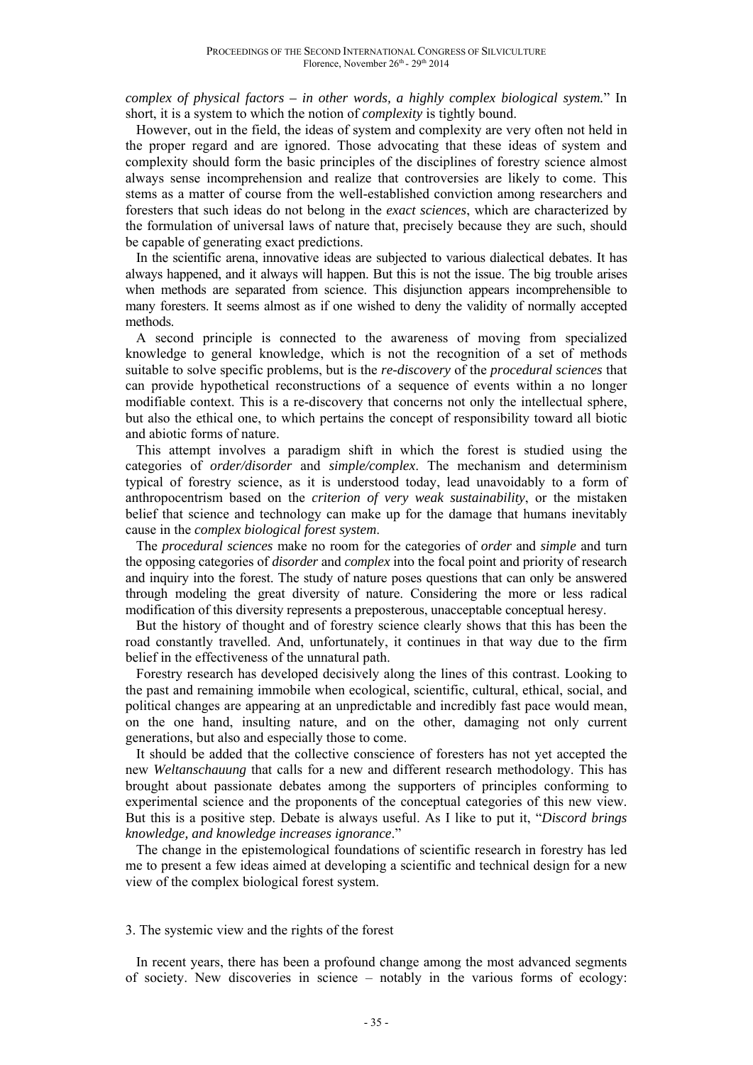*complex of physical factors – in other words, a highly complex biological system.*" In short, it is a system to which the notion of *complexity* is tightly bound.

However, out in the field, the ideas of system and complexity are very often not held in the proper regard and are ignored. Those advocating that these ideas of system and complexity should form the basic principles of the disciplines of forestry science almost always sense incomprehension and realize that controversies are likely to come. This stems as a matter of course from the well-established conviction among researchers and foresters that such ideas do not belong in the *exact sciences*, which are characterized by the formulation of universal laws of nature that, precisely because they are such, should be capable of generating exact predictions.

In the scientific arena, innovative ideas are subjected to various dialectical debates. It has always happened, and it always will happen. But this is not the issue. The big trouble arises when methods are separated from science. This disjunction appears incomprehensible to many foresters. It seems almost as if one wished to deny the validity of normally accepted methods.

A second principle is connected to the awareness of moving from specialized knowledge to general knowledge, which is not the recognition of a set of methods suitable to solve specific problems, but is the *re-discovery* of the *procedural sciences* that can provide hypothetical reconstructions of a sequence of events within a no longer modifiable context. This is a re-discovery that concerns not only the intellectual sphere, but also the ethical one, to which pertains the concept of responsibility toward all biotic and abiotic forms of nature.

This attempt involves a paradigm shift in which the forest is studied using the categories of *order/disorder* and *simple/complex*. The mechanism and determinism typical of forestry science, as it is understood today, lead unavoidably to a form of anthropocentrism based on the *criterion of very weak sustainability*, or the mistaken belief that science and technology can make up for the damage that humans inevitably cause in the *complex biological forest system*.

The *procedural sciences* make no room for the categories of *order* and *simple* and turn the opposing categories of *disorder* and *complex* into the focal point and priority of research and inquiry into the forest. The study of nature poses questions that can only be answered through modeling the great diversity of nature. Considering the more or less radical modification of this diversity represents a preposterous, unacceptable conceptual heresy.

But the history of thought and of forestry science clearly shows that this has been the road constantly travelled. And, unfortunately, it continues in that way due to the firm belief in the effectiveness of the unnatural path.

Forestry research has developed decisively along the lines of this contrast. Looking to the past and remaining immobile when ecological, scientific, cultural, ethical, social, and political changes are appearing at an unpredictable and incredibly fast pace would mean, on the one hand, insulting nature, and on the other, damaging not only current generations, but also and especially those to come.

It should be added that the collective conscience of foresters has not yet accepted the new *Weltanschauung* that calls for a new and different research methodology. This has brought about passionate debates among the supporters of principles conforming to experimental science and the proponents of the conceptual categories of this new view. But this is a positive step. Debate is always useful. As I like to put it, "*Discord brings knowledge, and knowledge increases ignorance*."

The change in the epistemological foundations of scientific research in forestry has led me to present a few ideas aimed at developing a scientific and technical design for a new view of the complex biological forest system.

### 3. The systemic view and the rights of the forest

In recent years, there has been a profound change among the most advanced segments of society. New discoveries in science – notably in the various forms of ecology: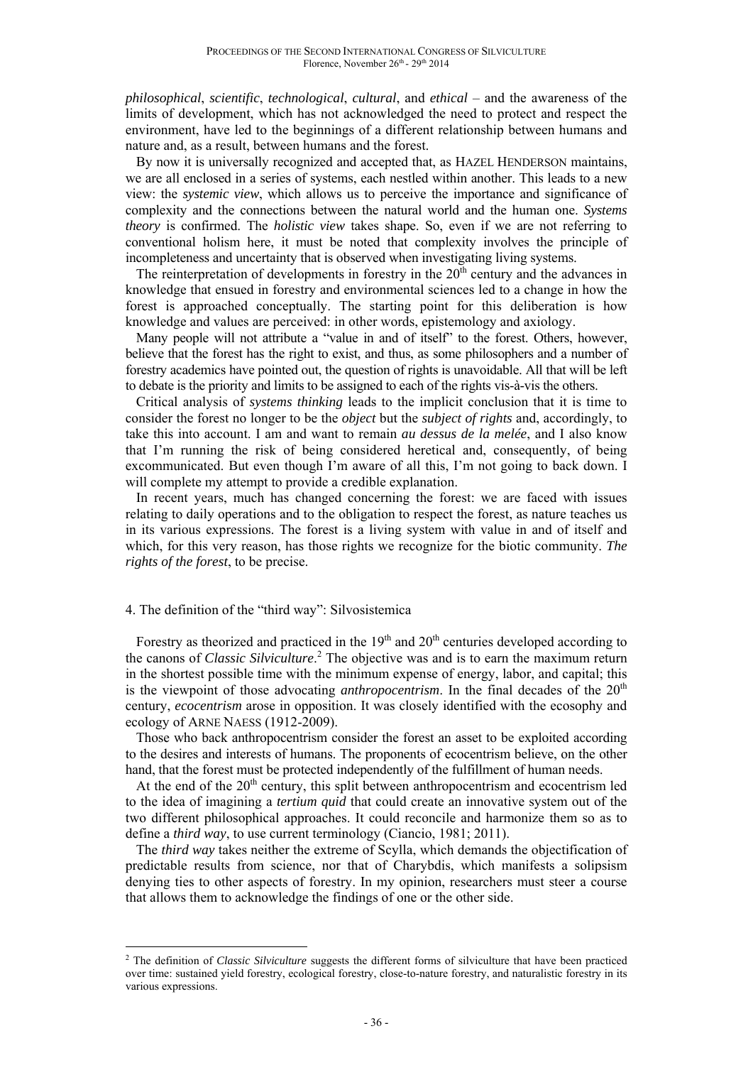*philosophical*, *scientific*, *technological*, *cultural*, and *ethical* – and the awareness of the limits of development, which has not acknowledged the need to protect and respect the environment, have led to the beginnings of a different relationship between humans and nature and, as a result, between humans and the forest.

By now it is universally recognized and accepted that, as HAZEL HENDERSON maintains, we are all enclosed in a series of systems, each nestled within another. This leads to a new view: the *systemic view*, which allows us to perceive the importance and significance of complexity and the connections between the natural world and the human one. *Systems theory* is confirmed. The *holistic view* takes shape. So, even if we are not referring to conventional holism here, it must be noted that complexity involves the principle of incompleteness and uncertainty that is observed when investigating living systems.

The reinterpretation of developments in forestry in the  $20<sup>th</sup>$  century and the advances in knowledge that ensued in forestry and environmental sciences led to a change in how the forest is approached conceptually. The starting point for this deliberation is how knowledge and values are perceived: in other words, epistemology and axiology.

Many people will not attribute a "value in and of itself" to the forest. Others, however, believe that the forest has the right to exist, and thus, as some philosophers and a number of forestry academics have pointed out, the question of rights is unavoidable. All that will be left to debate is the priority and limits to be assigned to each of the rights vis-à-vis the others.

Critical analysis of *systems thinking* leads to the implicit conclusion that it is time to consider the forest no longer to be the *object* but the *subject of rights* and, accordingly, to take this into account. I am and want to remain *au dessus de la melée*, and I also know that I'm running the risk of being considered heretical and, consequently, of being excommunicated. But even though I'm aware of all this, I'm not going to back down. I will complete my attempt to provide a credible explanation.

In recent years, much has changed concerning the forest: we are faced with issues relating to daily operations and to the obligation to respect the forest, as nature teaches us in its various expressions. The forest is a living system with value in and of itself and which, for this very reason, has those rights we recognize for the biotic community. *The rights of the forest*, to be precise.

### 4. The definition of the "third way": Silvosistemica

 $\overline{a}$ 

Forestry as theorized and practiced in the  $19<sup>th</sup>$  and  $20<sup>th</sup>$  centuries developed according to the canons of *Classic Silviculture*. 2 The objective was and is to earn the maximum return in the shortest possible time with the minimum expense of energy, labor, and capital; this is the viewpoint of those advocating *anthropocentrism*. In the final decades of the  $20<sup>th</sup>$ century, *ecocentrism* arose in opposition. It was closely identified with the ecosophy and ecology of ARNE NAESS (1912-2009).

Those who back anthropocentrism consider the forest an asset to be exploited according to the desires and interests of humans. The proponents of ecocentrism believe, on the other hand, that the forest must be protected independently of the fulfillment of human needs.

At the end of the  $20<sup>th</sup>$  century, this split between anthropocentrism and ecocentrism led to the idea of imagining a *tertium quid* that could create an innovative system out of the two different philosophical approaches. It could reconcile and harmonize them so as to define a *third way*, to use current terminology (Ciancio, 1981; 2011).

The *third way* takes neither the extreme of Scylla, which demands the objectification of predictable results from science, nor that of Charybdis, which manifests a solipsism denying ties to other aspects of forestry. In my opinion, researchers must steer a course that allows them to acknowledge the findings of one or the other side.

<sup>2</sup> The definition of *Classic Silviculture* suggests the different forms of silviculture that have been practiced over time: sustained yield forestry, ecological forestry, close-to-nature forestry, and naturalistic forestry in its various expressions.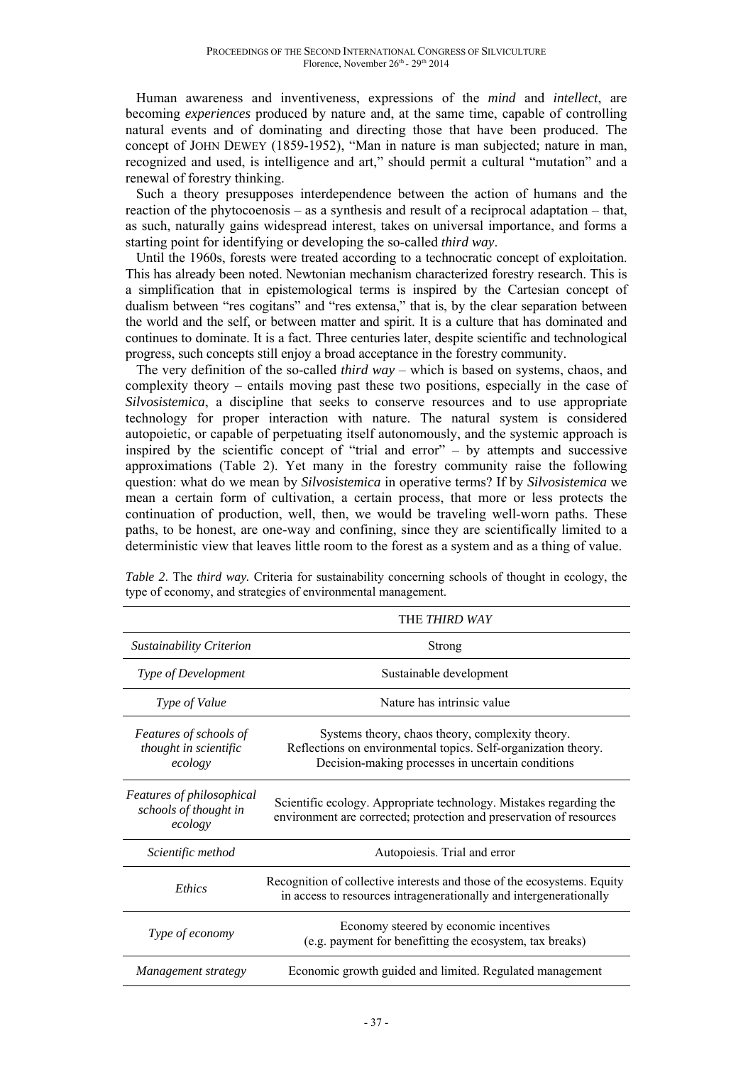Human awareness and inventiveness, expressions of the *mind* and *intellect*, are becoming *experiences* produced by nature and, at the same time, capable of controlling natural events and of dominating and directing those that have been produced. The concept of JOHN DEWEY (1859-1952), "Man in nature is man subjected; nature in man, recognized and used, is intelligence and art," should permit a cultural "mutation" and a renewal of forestry thinking.

Such a theory presupposes interdependence between the action of humans and the reaction of the phytocoenosis – as a synthesis and result of a reciprocal adaptation – that, as such, naturally gains widespread interest, takes on universal importance, and forms a starting point for identifying or developing the so-called *third way*.

Until the 1960s, forests were treated according to a technocratic concept of exploitation. This has already been noted. Newtonian mechanism characterized forestry research. This is a simplification that in epistemological terms is inspired by the Cartesian concept of dualism between "res cogitans" and "res extensa," that is, by the clear separation between the world and the self, or between matter and spirit. It is a culture that has dominated and continues to dominate. It is a fact. Three centuries later, despite scientific and technological progress, such concepts still enjoy a broad acceptance in the forestry community.

The very definition of the so-called *third way* – which is based on systems, chaos, and complexity theory – entails moving past these two positions, especially in the case of *Silvosistemica*, a discipline that seeks to conserve resources and to use appropriate technology for proper interaction with nature. The natural system is considered autopoietic, or capable of perpetuating itself autonomously, and the systemic approach is inspired by the scientific concept of "trial and error"  $-$  by attempts and successive approximations (Table 2). Yet many in the forestry community raise the following question: what do we mean by *Silvosistemica* in operative terms? If by *Silvosistemica* we mean a certain form of cultivation, a certain process, that more or less protects the continuation of production, well, then, we would be traveling well-worn paths. These paths, to be honest, are one-way and confining, since they are scientifically limited to a deterministic view that leaves little room to the forest as a system and as a thing of value.

|                                                               | THE THIRD WAY                                                                                                                                                           |  |  |
|---------------------------------------------------------------|-------------------------------------------------------------------------------------------------------------------------------------------------------------------------|--|--|
| Sustainability Criterion                                      | Strong                                                                                                                                                                  |  |  |
| Type of Development                                           | Sustainable development                                                                                                                                                 |  |  |
| Type of Value                                                 | Nature has intrinsic value                                                                                                                                              |  |  |
| Features of schools of<br>thought in scientific<br>ecology    | Systems theory, chaos theory, complexity theory.<br>Reflections on environmental topics. Self-organization theory.<br>Decision-making processes in uncertain conditions |  |  |
| Features of philosophical<br>schools of thought in<br>ecology | Scientific ecology. Appropriate technology. Mistakes regarding the<br>environment are corrected; protection and preservation of resources                               |  |  |
| Scientific method                                             | Autopoiesis. Trial and error                                                                                                                                            |  |  |
| Ethics                                                        | Recognition of collective interests and those of the ecosystems. Equity<br>in access to resources intragenerationally and intergenerationally                           |  |  |
| Type of economy                                               | Economy steered by economic incentives<br>(e.g. payment for benefitting the ecosystem, tax breaks)                                                                      |  |  |
| Management strategy                                           | Economic growth guided and limited. Regulated management                                                                                                                |  |  |

*Table 2.* The *third way*. Criteria for sustainability concerning schools of thought in ecology, the type of economy, and strategies of environmental management.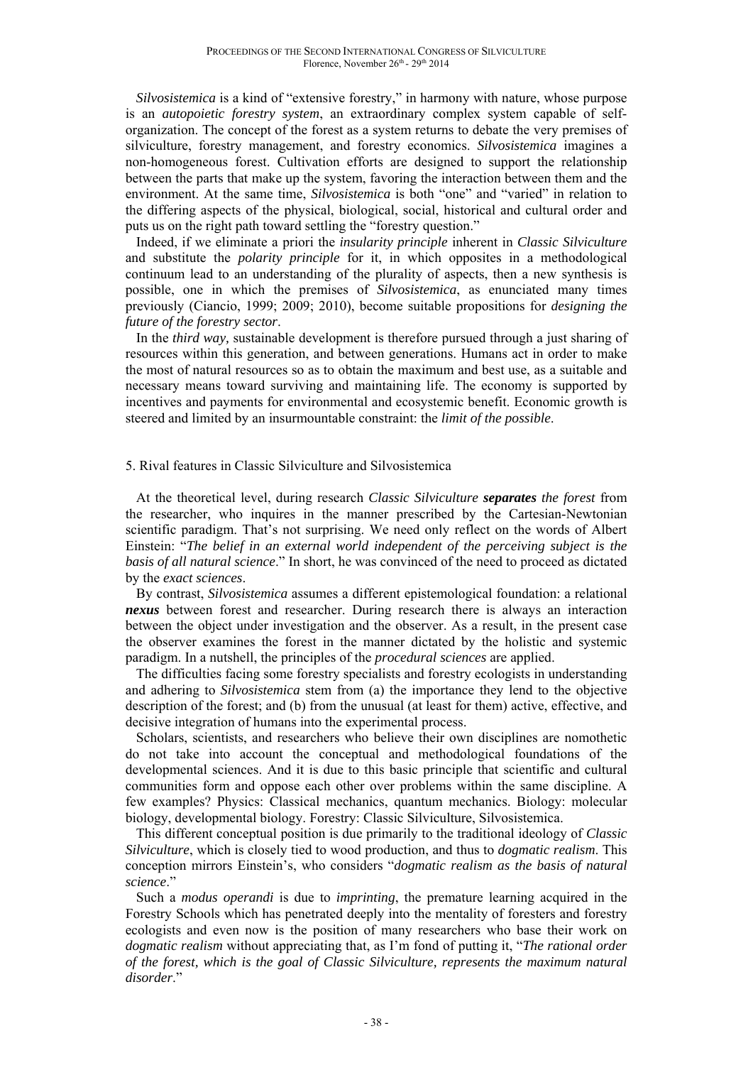*Silvosistemica* is a kind of "extensive forestry," in harmony with nature, whose purpose is an *autopoietic forestry system*, an extraordinary complex system capable of selforganization. The concept of the forest as a system returns to debate the very premises of silviculture, forestry management, and forestry economics. *Silvosistemica* imagines a non-homogeneous forest. Cultivation efforts are designed to support the relationship between the parts that make up the system, favoring the interaction between them and the environment. At the same time, *Silvosistemica* is both "one" and "varied" in relation to the differing aspects of the physical, biological, social, historical and cultural order and puts us on the right path toward settling the "forestry question."

Indeed, if we eliminate a priori the *insularity principle* inherent in *Classic Silviculture* and substitute the *polarity principle* for it, in which opposites in a methodological continuum lead to an understanding of the plurality of aspects, then a new synthesis is possible, one in which the premises of *Silvosistemica*, as enunciated many times previously (Ciancio, 1999; 2009; 2010), become suitable propositions for *designing the future of the forestry sector*.

In the *third way,* sustainable development is therefore pursued through a just sharing of resources within this generation, and between generations. Humans act in order to make the most of natural resources so as to obtain the maximum and best use, as a suitable and necessary means toward surviving and maintaining life. The economy is supported by incentives and payments for environmental and ecosystemic benefit. Economic growth is steered and limited by an insurmountable constraint: the *limit of the possible*.

# 5. Rival features in Classic Silviculture and Silvosistemica

At the theoretical level, during research *Classic Silviculture separates the forest* from the researcher, who inquires in the manner prescribed by the Cartesian-Newtonian scientific paradigm. That's not surprising. We need only reflect on the words of Albert Einstein: "*The belief in an external world independent of the perceiving subject is the basis of all natural science*." In short, he was convinced of the need to proceed as dictated by the *exact sciences*.

By contrast, *Silvosistemica* assumes a different epistemological foundation: a relational *nexus* between forest and researcher. During research there is always an interaction between the object under investigation and the observer. As a result, in the present case the observer examines the forest in the manner dictated by the holistic and systemic paradigm. In a nutshell, the principles of the *procedural sciences* are applied.

The difficulties facing some forestry specialists and forestry ecologists in understanding and adhering to *Silvosistemica* stem from (a) the importance they lend to the objective description of the forest; and (b) from the unusual (at least for them) active, effective, and decisive integration of humans into the experimental process.

Scholars, scientists, and researchers who believe their own disciplines are nomothetic do not take into account the conceptual and methodological foundations of the developmental sciences. And it is due to this basic principle that scientific and cultural communities form and oppose each other over problems within the same discipline. A few examples? Physics: Classical mechanics, quantum mechanics. Biology: molecular biology, developmental biology. Forestry: Classic Silviculture, Silvosistemica.

This different conceptual position is due primarily to the traditional ideology of *Classic Silviculture*, which is closely tied to wood production, and thus to *dogmatic realism*. This conception mirrors Einstein's, who considers "*dogmatic realism as the basis of natural science*."

Such a *modus operandi* is due to *imprinting*, the premature learning acquired in the Forestry Schools which has penetrated deeply into the mentality of foresters and forestry ecologists and even now is the position of many researchers who base their work on *dogmatic realism* without appreciating that, as I'm fond of putting it, "*The rational order of the forest, which is the goal of Classic Silviculture, represents the maximum natural disorder*."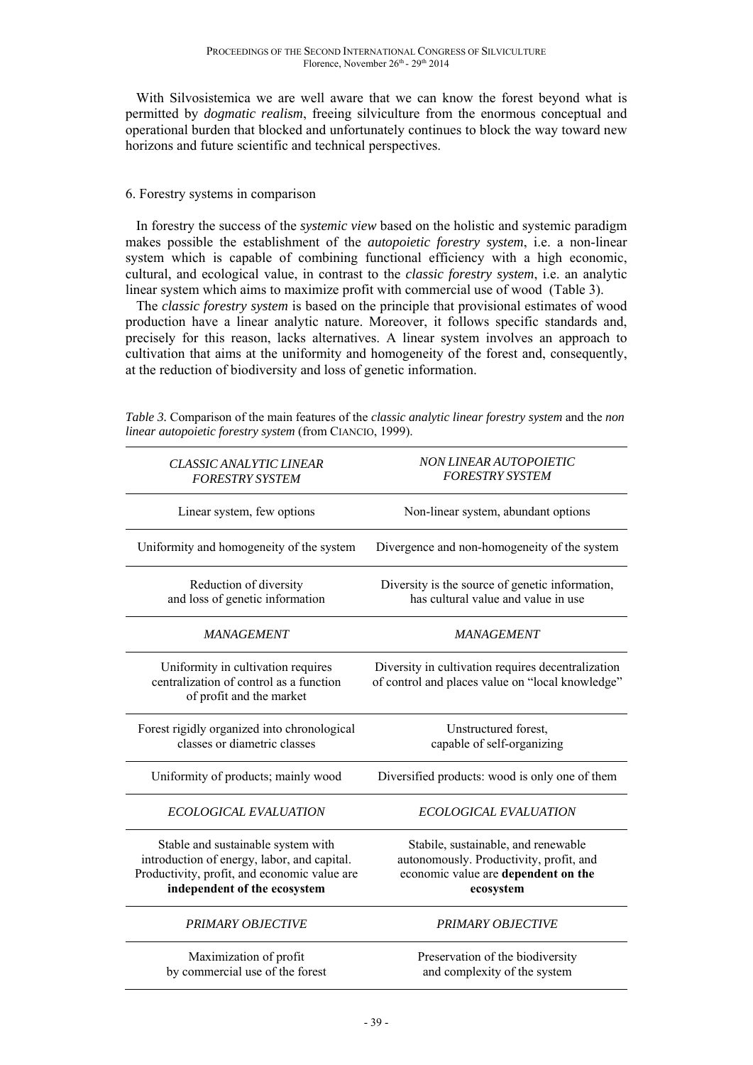With Silvosistemica we are well aware that we can know the forest beyond what is permitted by *dogmatic realism*, freeing silviculture from the enormous conceptual and operational burden that blocked and unfortunately continues to block the way toward new horizons and future scientific and technical perspectives.

# 6. Forestry systems in comparison

In forestry the success of the *systemic view* based on the holistic and systemic paradigm makes possible the establishment of the *autopoietic forestry system*, i.e. a non-linear system which is capable of combining functional efficiency with a high economic, cultural, and ecological value, in contrast to the *classic forestry system*, i.e. an analytic linear system which aims to maximize profit with commercial use of wood (Table 3).

The *classic forestry system* is based on the principle that provisional estimates of wood production have a linear analytic nature. Moreover, it follows specific standards and, precisely for this reason, lacks alternatives. A linear system involves an approach to cultivation that aims at the uniformity and homogeneity of the forest and, consequently, at the reduction of biodiversity and loss of genetic information.

| <b>CLASSIC ANALYTIC LINEAR</b><br><b>FORESTRY SYSTEM</b>                                                                                                          | NON LINEAR AUTOPOIETIC<br><b>FORESTRY SYSTEM</b>                                                                                   |
|-------------------------------------------------------------------------------------------------------------------------------------------------------------------|------------------------------------------------------------------------------------------------------------------------------------|
| Linear system, few options                                                                                                                                        | Non-linear system, abundant options                                                                                                |
| Uniformity and homogeneity of the system                                                                                                                          | Divergence and non-homogeneity of the system                                                                                       |
| Reduction of diversity<br>and loss of genetic information                                                                                                         | Diversity is the source of genetic information,<br>has cultural value and value in use                                             |
| <b>MANAGEMENT</b>                                                                                                                                                 | <b>MANAGEMENT</b>                                                                                                                  |
| Uniformity in cultivation requires<br>centralization of control as a function<br>of profit and the market                                                         | Diversity in cultivation requires decentralization<br>of control and places value on "local knowledge"                             |
| Forest rigidly organized into chronological<br>classes or diametric classes                                                                                       | Unstructured forest,<br>capable of self-organizing                                                                                 |
| Uniformity of products; mainly wood                                                                                                                               | Diversified products: wood is only one of them                                                                                     |
| <b>ECOLOGICAL EVALUATION</b>                                                                                                                                      | <b>ECOLOGICAL EVALUATION</b>                                                                                                       |
| Stable and sustainable system with<br>introduction of energy, labor, and capital.<br>Productivity, profit, and economic value are<br>independent of the ecosystem | Stabile, sustainable, and renewable<br>autonomously. Productivity, profit, and<br>economic value are dependent on the<br>ecosystem |
| PRIMARY OBJECTIVE                                                                                                                                                 | <b>PRIMARY OBJECTIVE</b>                                                                                                           |
| Maximization of profit<br>by commercial use of the forest                                                                                                         | Preservation of the biodiversity<br>and complexity of the system                                                                   |

*Table 3.* Comparison of the main features of the *classic analytic linear forestry system* and the *non linear autopoietic forestry system* (from CIANCIO, 1999).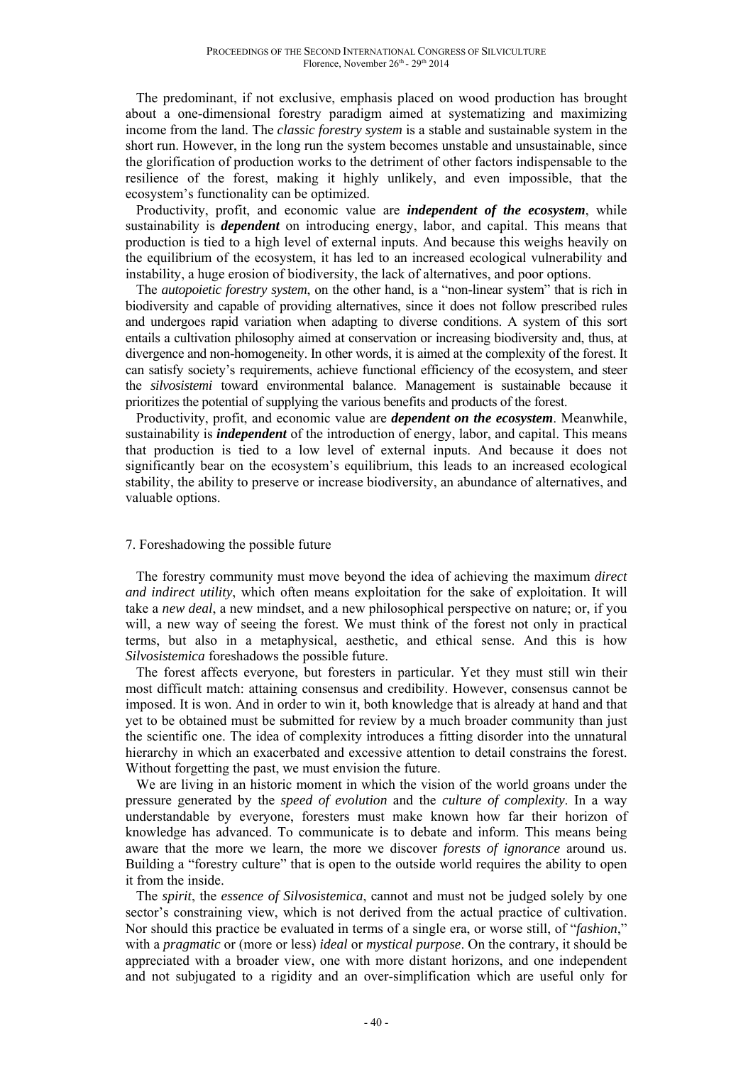The predominant, if not exclusive, emphasis placed on wood production has brought about a one-dimensional forestry paradigm aimed at systematizing and maximizing income from the land. The *classic forestry system* is a stable and sustainable system in the short run. However, in the long run the system becomes unstable and unsustainable, since the glorification of production works to the detriment of other factors indispensable to the resilience of the forest, making it highly unlikely, and even impossible, that the ecosystem's functionality can be optimized.

Productivity, profit, and economic value are *independent of the ecosystem*, while sustainability is *dependent* on introducing energy, labor, and capital. This means that production is tied to a high level of external inputs. And because this weighs heavily on the equilibrium of the ecosystem, it has led to an increased ecological vulnerability and instability, a huge erosion of biodiversity, the lack of alternatives, and poor options.

The *autopoietic forestry system*, on the other hand, is a "non-linear system" that is rich in biodiversity and capable of providing alternatives, since it does not follow prescribed rules and undergoes rapid variation when adapting to diverse conditions. A system of this sort entails a cultivation philosophy aimed at conservation or increasing biodiversity and, thus, at divergence and non-homogeneity. In other words, it is aimed at the complexity of the forest. It can satisfy society's requirements, achieve functional efficiency of the ecosystem, and steer the *silvosistemi* toward environmental balance. Management is sustainable because it prioritizes the potential of supplying the various benefits and products of the forest.

Productivity, profit, and economic value are *dependent on the ecosystem*. Meanwhile, sustainability is *independent* of the introduction of energy, labor, and capital. This means that production is tied to a low level of external inputs. And because it does not significantly bear on the ecosystem's equilibrium, this leads to an increased ecological stability, the ability to preserve or increase biodiversity, an abundance of alternatives, and valuable options.

# 7. Foreshadowing the possible future

The forestry community must move beyond the idea of achieving the maximum *direct and indirect utility*, which often means exploitation for the sake of exploitation. It will take a *new deal*, a new mindset, and a new philosophical perspective on nature; or, if you will, a new way of seeing the forest. We must think of the forest not only in practical terms, but also in a metaphysical, aesthetic, and ethical sense. And this is how *Silvosistemica* foreshadows the possible future.

The forest affects everyone, but foresters in particular. Yet they must still win their most difficult match: attaining consensus and credibility. However, consensus cannot be imposed. It is won. And in order to win it, both knowledge that is already at hand and that yet to be obtained must be submitted for review by a much broader community than just the scientific one. The idea of complexity introduces a fitting disorder into the unnatural hierarchy in which an exacerbated and excessive attention to detail constrains the forest. Without forgetting the past, we must envision the future.

We are living in an historic moment in which the vision of the world groans under the pressure generated by the *speed of evolution* and the *culture of complexity*. In a way understandable by everyone, foresters must make known how far their horizon of knowledge has advanced. To communicate is to debate and inform. This means being aware that the more we learn, the more we discover *forests of ignorance* around us. Building a "forestry culture" that is open to the outside world requires the ability to open it from the inside.

The *spirit*, the *essence of Silvosistemica*, cannot and must not be judged solely by one sector's constraining view, which is not derived from the actual practice of cultivation. Nor should this practice be evaluated in terms of a single era, or worse still, of "*fashion*," with a *pragmatic* or (more or less) *ideal* or *mystical purpose*. On the contrary, it should be appreciated with a broader view, one with more distant horizons, and one independent and not subjugated to a rigidity and an over-simplification which are useful only for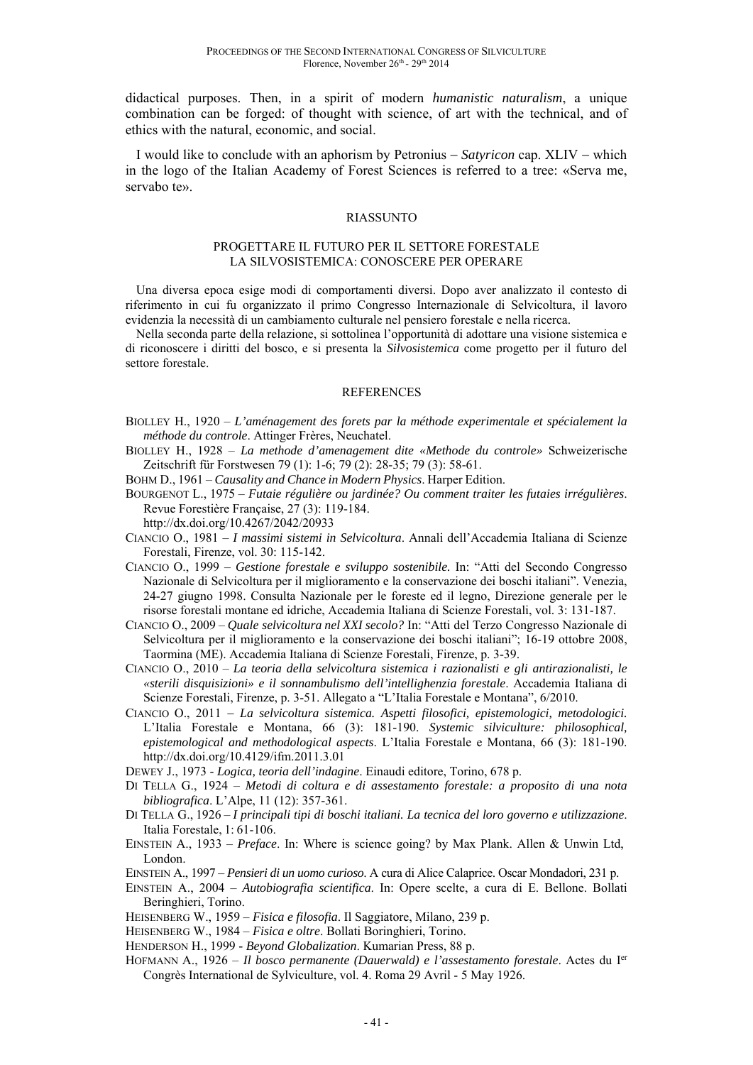didactical purposes. Then, in a spirit of modern *humanistic naturalism*, a unique combination can be forged: of thought with science, of art with the technical, and of ethics with the natural, economic, and social.

I would like to conclude with an aphorism by Petronius – *Satyricon* cap. XLIV – which in the logo of the Italian Academy of Forest Sciences is referred to a tree: «Serva me, servabo te».

### RIASSUNTO

#### PROGETTARE IL FUTURO PER IL SETTORE FORESTALE LA SILVOSISTEMICA: CONOSCERE PER OPERARE

Una diversa epoca esige modi di comportamenti diversi. Dopo aver analizzato il contesto di riferimento in cui fu organizzato il primo Congresso Internazionale di Selvicoltura, il lavoro evidenzia la necessità di un cambiamento culturale nel pensiero forestale e nella ricerca.

Nella seconda parte della relazione, si sottolinea l'opportunità di adottare una visione sistemica e di riconoscere i diritti del bosco, e si presenta la *Silvosistemica* come progetto per il futuro del settore forestale.

#### REFERENCES

- BIOLLEY H., 1920 *L'aménagement des forets par la méthode experimentale et spécialement la méthode du controle*. Attinger Frères, Neuchatel.
- BIOLLEY H., 1928 *La methode d'amenagement dite «Methode du controle»* Schweizerische Zeitschrift für Forstwesen 79 (1): 1-6; 79 (2): 28-35; 79 (3): 58-61.

BOHM D., 1961 – *Causality and Chance in Modern Physics*. Harper Edition.

- BOURGENOT L., 1975 *Futaie régulière ou jardinée? Ou comment traiter les futaies irrégulières*. Revue Forestière Française, 27 (3): 119-184. http://dx.doi.org/10.4267/2042/20933
- CIANCIO O., 1981 *I massimi sistemi in Selvicoltura*. Annali dell'Accademia Italiana di Scienze Forestali, Firenze, vol. 30: 115-142.
- CIANCIO O., 1999 *Gestione forestale e sviluppo sostenibile.* In: "Atti del Secondo Congresso Nazionale di Selvicoltura per il miglioramento e la conservazione dei boschi italiani". Venezia, 24-27 giugno 1998. Consulta Nazionale per le foreste ed il legno, Direzione generale per le risorse forestali montane ed idriche, Accademia Italiana di Scienze Forestali, vol. 3: 131-187.
- CIANCIO O., 2009 *Quale selvicoltura nel XXI secolo?* In: "Atti del Terzo Congresso Nazionale di Selvicoltura per il miglioramento e la conservazione dei boschi italiani"; 16-19 ottobre 2008, Taormina (ME). Accademia Italiana di Scienze Forestali, Firenze, p. 3-39.
- CIANCIO O., 2010 *La teoria della selvicoltura sistemica i razionalisti e gli antirazionalisti, le «sterili disquisizioni» e il sonnambulismo dell'intellighenzia forestale*. Accademia Italiana di Scienze Forestali, Firenze, p. 3-51. Allegato a "L'Italia Forestale e Montana", 6/2010.
- CIANCIO O., 2011 *La selvicoltura sistemica. Aspetti filosofici, epistemologici, metodologici.* L'Italia Forestale e Montana, 66 (3): 181-190. *Systemic silviculture: philosophical, epistemological and methodological aspects*. L'Italia Forestale e Montana, 66 (3): 181-190. http://dx.doi.org/10.4129/ifm.2011.3.01
- DEWEY J., 1973 *Logica, teoria dell'indagine*. Einaudi editore, Torino, 678 p.
- DI TELLA G., 1924 *Metodi di coltura e di assestamento forestale: a proposito di una nota bibliografica*. L'Alpe, 11 (12): 357-361.
- DI TELLA G., 1926 *I principali tipi di boschi italiani. La tecnica del loro governo e utilizzazione*. Italia Forestale, 1: 61-106.
- EINSTEIN A., 1933 *Preface*. In: Where is science going? by Max Plank. Allen & Unwin Ltd, London.
- EINSTEIN A., 1997 *Pensieri di un uomo curioso*. A cura di Alice Calaprice. Oscar Mondadori, 231 p.
- EINSTEIN A., 2004 *Autobiografia scientifica*. In: Opere scelte, a cura di E. Bellone. Bollati Beringhieri, Torino.
- HEISENBERG W., 1959 *Fisica e filosofia*. Il Saggiatore, Milano, 239 p.
- HEISENBERG W., 1984 *Fisica e oltre*. Bollati Boringhieri, Torino.
- HENDERSON H., 1999 *Beyond Globalization*. Kumarian Press, 88 p.
- HOFMANN A., 1926 *Il bosco permanente (Dauerwald) e l'assestamento forestale*. Actes du Ier Congrès International de Sylviculture, vol. 4. Roma 29 Avril - 5 May 1926.